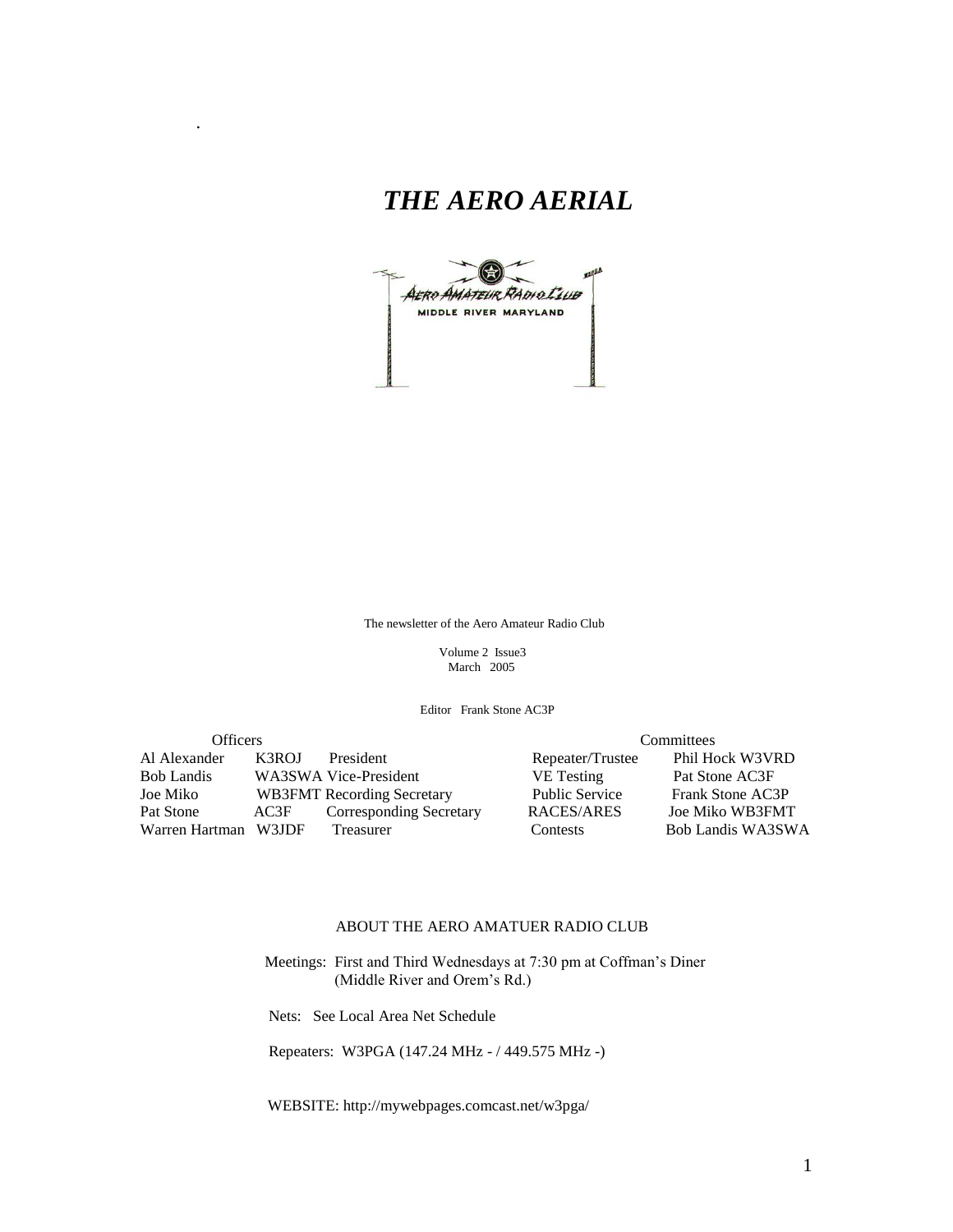## *THE AERO AERIAL*

.



The newsletter of the Aero Amateur Radio Club

 Volume 2 Issue3 March 2005

Editor Frank Stone AC3P

| Officers             |       |                                   | Committees |                       |  |                        |
|----------------------|-------|-----------------------------------|------------|-----------------------|--|------------------------|
| Al Alexander         | K3ROJ | President                         |            | Repeater/Trustee      |  | Phil Hock W3VRD        |
| <b>Bob Landis</b>    |       | WA3SWA Vice-President             |            | <b>VE</b> Testing     |  | Pat Stone AC3F         |
| Joe Miko             |       | <b>WB3FMT</b> Recording Secretary |            | <b>Public Service</b> |  | Frank Stone AC3P       |
| Pat Stone            | AC3F  | <b>Corresponding Secretary</b>    |            | RACES/ARES            |  | <b>Joe Miko WB3FMT</b> |
| Warren Hartman W3JDF |       | Treasurer                         |            | <b>Contests</b>       |  | Bob Landis WA3SWA      |

#### ABOUT THE AERO AMATUER RADIO CLUB

 Meetings: First and Third Wednesdays at 7:30 pm at Coffman's Diner (Middle River and Orem's Rd.)

Nets: See Local Area Net Schedule

Repeaters: W3PGA (147.24 MHz - / 449.575 MHz -)

WEBSITE: http://mywebpages.comcast.net/w3pga/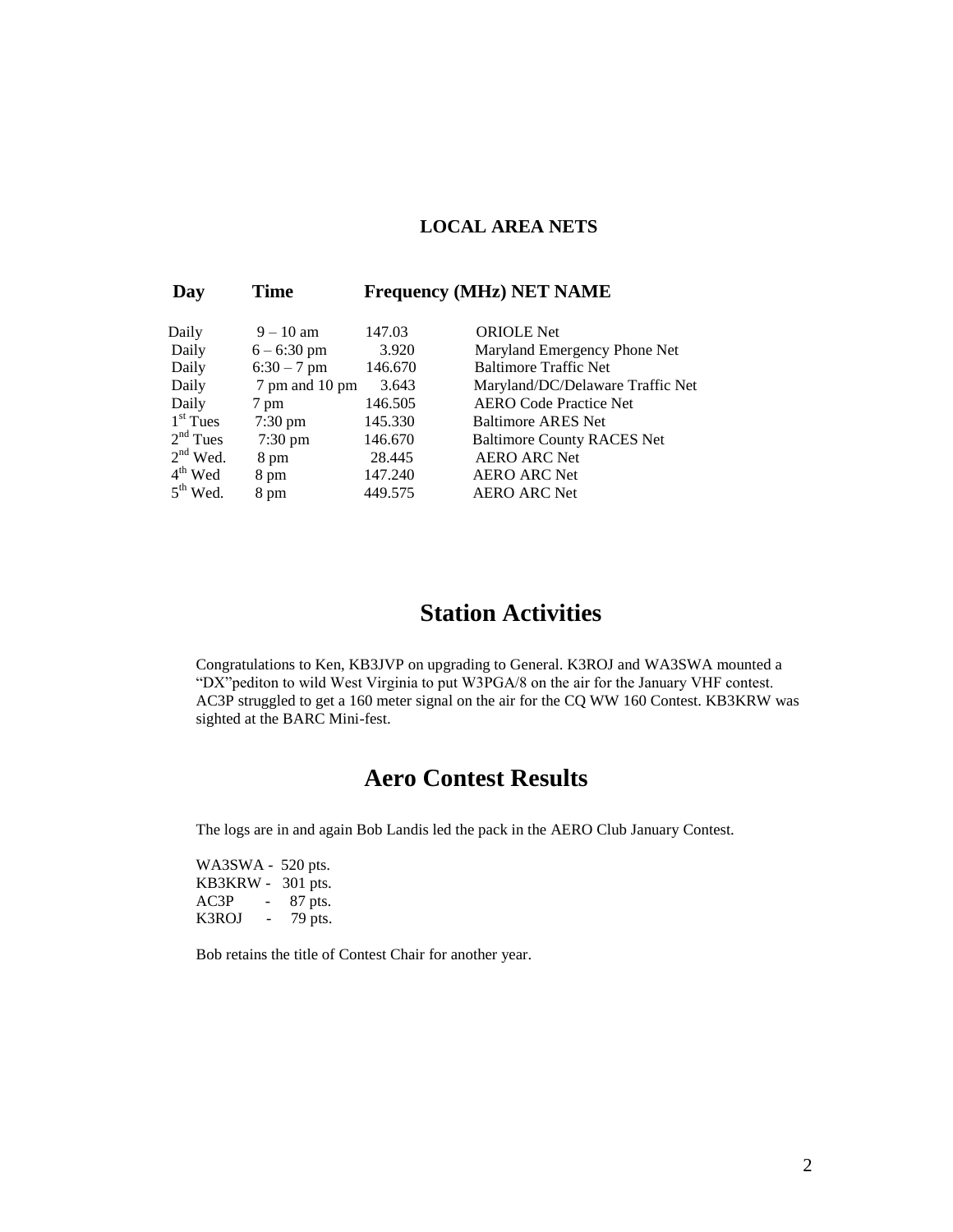#### **LOCAL AREA NETS**

| Day        | Time              | <b>Frequency (MHz) NET NAME</b> |                                   |  |  |
|------------|-------------------|---------------------------------|-----------------------------------|--|--|
| Daily      | $9 - 10$ am       | 147.03                          | <b>ORIOLE</b> Net                 |  |  |
| Daily      | $6 - 6:30$ pm     | 3.920                           | Maryland Emergency Phone Net      |  |  |
| Daily      | $6:30 - 7$ pm     | 146.670                         | <b>Baltimore Traffic Net</b>      |  |  |
| Daily      | 7 pm and 10 pm    | 3.643                           | Maryland/DC/Delaware Traffic Net  |  |  |
| Daily      | 7 pm              | 146.505                         | <b>AERO Code Practice Net</b>     |  |  |
| $1st$ Tues | $7:30 \text{ pm}$ | 145.330                         | Baltimore ARES Net                |  |  |
| $2nd$ Tues | $7:30 \text{ pm}$ | 146.670                         | <b>Baltimore County RACES Net</b> |  |  |
| $2nd$ Wed. | 8 pm              | 28.445                          | <b>AERO ARC Net</b>               |  |  |
| $4th$ Wed  | 8 pm              | 147.240                         | <b>AERO ARC Net</b>               |  |  |
| $5th$ Wed. | 8 pm              | 449.575                         | <b>AERO ARC Net</b>               |  |  |

### **Station Activities**

Congratulations to Ken, KB3JVP on upgrading to General. K3ROJ and WA3SWA mounted a "DX"pediton to wild West Virginia to put W3PGA/8 on the air for the January VHF contest. AC3P struggled to get a 160 meter signal on the air for the CQ WW 160 Contest. KB3KRW was sighted at the BARC Mini-fest.

### **Aero Contest Results**

The logs are in and again Bob Landis led the pack in the AERO Club January Contest.

WA3SWA - 520 pts. KB3KRW - 301 pts. AC3P - 87 pts. K3ROJ - 79 pts.

Bob retains the title of Contest Chair for another year.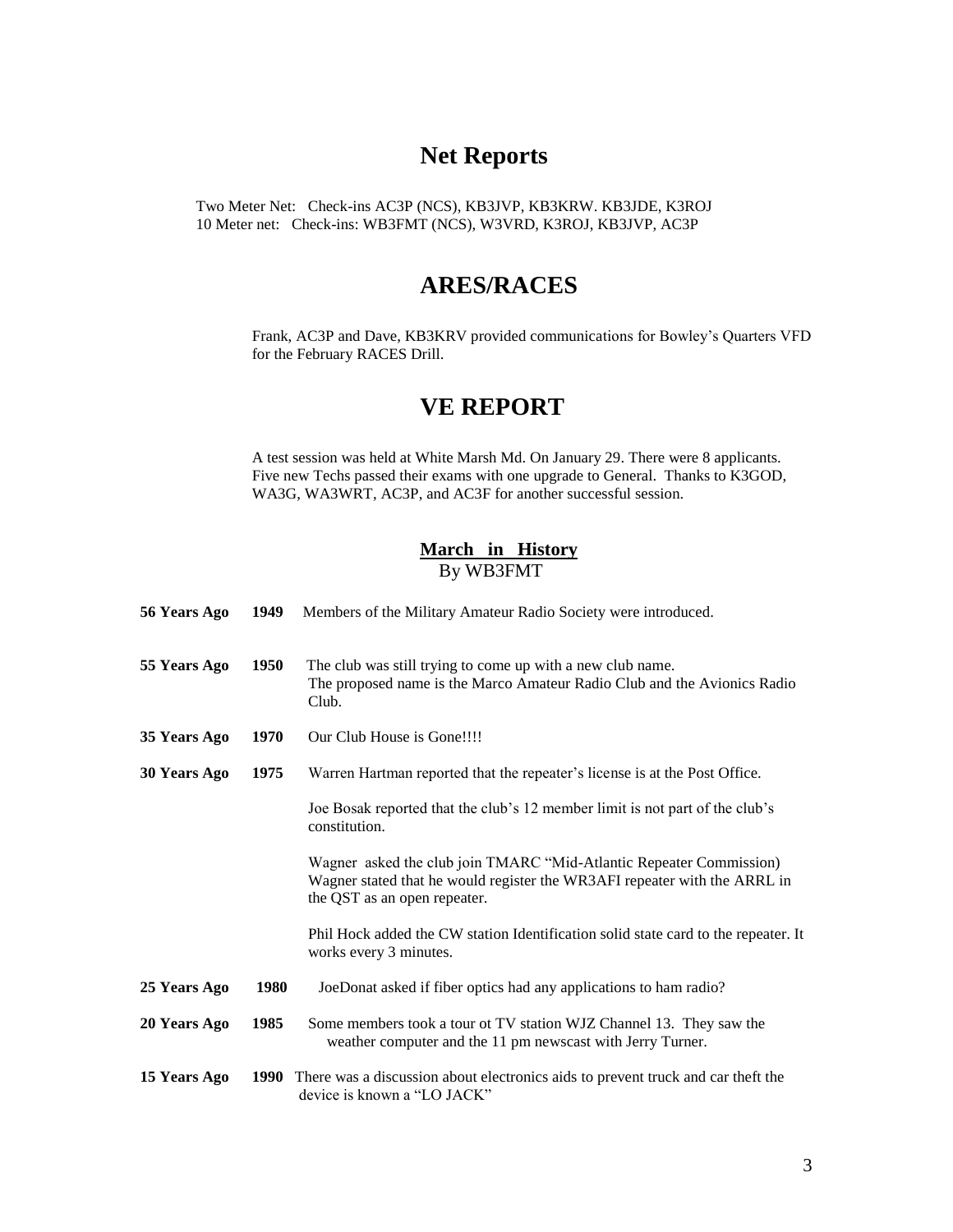### **Net Reports**

Two Meter Net: Check-ins AC3P (NCS), KB3JVP, KB3KRW. KB3JDE, K3ROJ 10 Meter net: Check-ins: WB3FMT (NCS), W3VRD, K3ROJ, KB3JVP, AC3P

### **ARES/RACES**

Frank, AC3P and Dave, KB3KRV provided communications for Bowley's Quarters VFD for the February RACES Drill.

### **VE REPORT**

A test session was held at White Marsh Md. On January 29. There were 8 applicants. Five new Techs passed their exams with one upgrade to General. Thanks to K3GOD, WA3G, WA3WRT, AC3P, and AC3F for another successful session.

#### **March in History**  By WB3FMT

| 56 Years Ago        | 1949 | Members of the Military Amateur Radio Society were introduced.                                                                                                                   |
|---------------------|------|----------------------------------------------------------------------------------------------------------------------------------------------------------------------------------|
| 55 Years Ago        | 1950 | The club was still trying to come up with a new club name.<br>The proposed name is the Marco Amateur Radio Club and the Avionics Radio<br>Club.                                  |
| 35 Years Ago        | 1970 | Our Club House is Gone!!!!                                                                                                                                                       |
| <b>30 Years Ago</b> | 1975 | Warren Hartman reported that the repeater's license is at the Post Office.                                                                                                       |
|                     |      | Joe Bosak reported that the club's 12 member limit is not part of the club's<br>constitution.                                                                                    |
|                     |      | Wagner asked the club join TMARC "Mid-Atlantic Repeater Commission)<br>Wagner stated that he would register the WR3AFI repeater with the ARRL in<br>the QST as an open repeater. |
|                     |      | Phil Hock added the CW station Identification solid state card to the repeater. It<br>works every 3 minutes.                                                                     |
| 25 Years Ago        | 1980 | JoeDonat asked if fiber optics had any applications to ham radio?                                                                                                                |
| 20 Years Ago        | 1985 | Some members took a tour ot TV station WJZ Channel 13. They saw the<br>weather computer and the 11 pm newscast with Jerry Turner.                                                |
| 15 Years Ago        | 1990 | There was a discussion about electronics aids to prevent truck and car theft the<br>device is known a "LO JACK"                                                                  |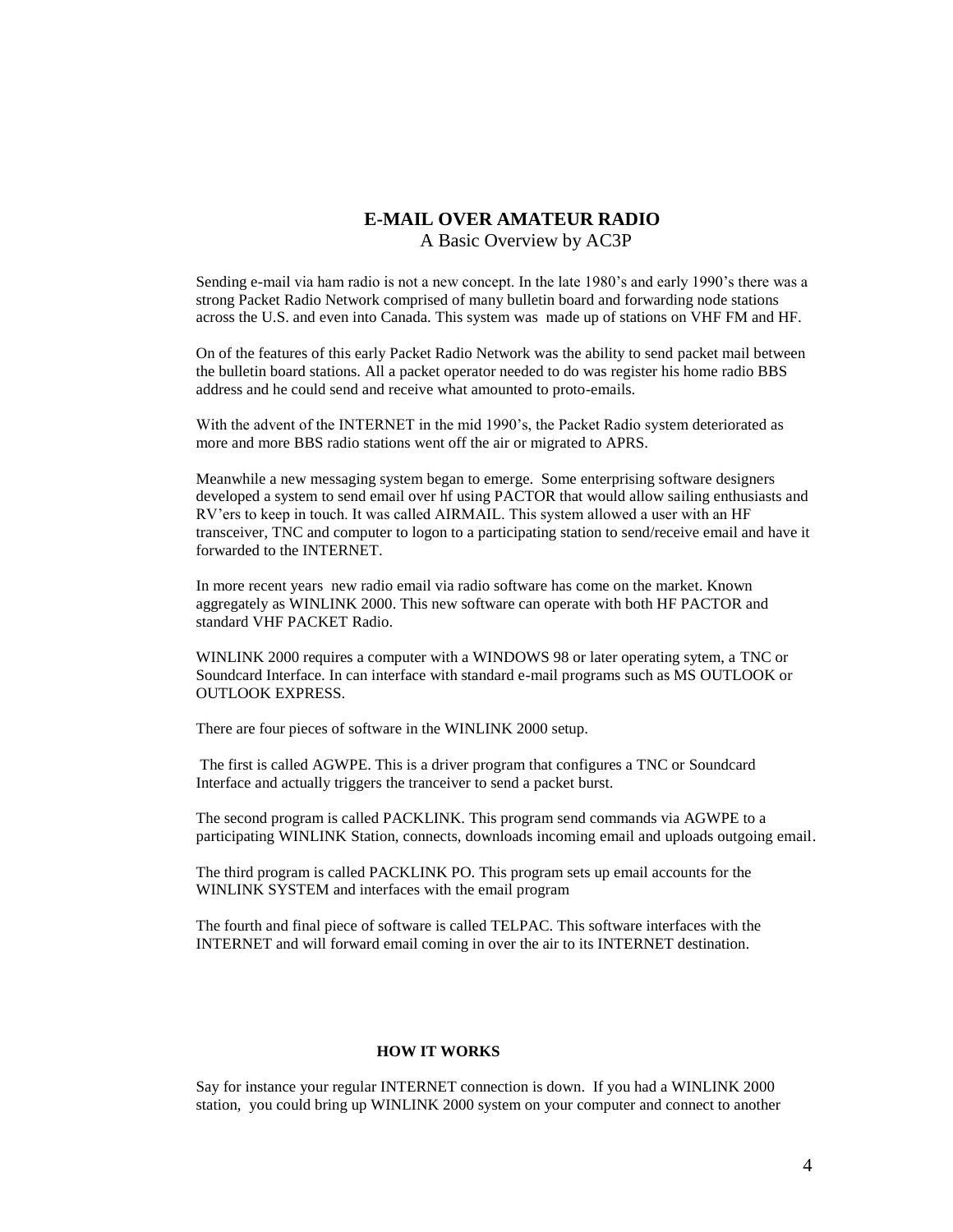# **E-MAIL OVER AMATEUR RADIO**

A Basic Overview by AC3P

Sending e-mail via ham radio is not a new concept. In the late 1980's and early 1990's there was a strong Packet Radio Network comprised of many bulletin board and forwarding node stations across the U.S. and even into Canada. This system was made up of stations on VHF FM and HF.

On of the features of this early Packet Radio Network was the ability to send packet mail between the bulletin board stations. All a packet operator needed to do was register his home radio BBS address and he could send and receive what amounted to proto-emails.

With the advent of the INTERNET in the mid 1990's, the Packet Radio system deteriorated as more and more BBS radio stations went off the air or migrated to APRS.

Meanwhile a new messaging system began to emerge. Some enterprising software designers developed a system to send email over hf using PACTOR that would allow sailing enthusiasts and RV'ers to keep in touch. It was called AIRMAIL. This system allowed a user with an HF transceiver, TNC and computer to logon to a participating station to send/receive email and have it forwarded to the INTERNET.

In more recent years new radio email via radio software has come on the market. Known aggregately as WINLINK 2000. This new software can operate with both HF PACTOR and standard VHF PACKET Radio.

WINLINK 2000 requires a computer with a WINDOWS 98 or later operating sytem, a TNC or Soundcard Interface. In can interface with standard e-mail programs such as MS OUTLOOK or OUTLOOK EXPRESS.

There are four pieces of software in the WINLINK 2000 setup.

The first is called AGWPE. This is a driver program that configures a TNC or Soundcard Interface and actually triggers the tranceiver to send a packet burst.

The second program is called PACKLINK. This program send commands via AGWPE to a participating WINLINK Station, connects, downloads incoming email and uploads outgoing email.

The third program is called PACKLINK PO. This program sets up email accounts for the WINLINK SYSTEM and interfaces with the email program

The fourth and final piece of software is called TELPAC. This software interfaces with the INTERNET and will forward email coming in over the air to its INTERNET destination.

#### **HOW IT WORKS**

Say for instance your regular INTERNET connection is down. If you had a WINLINK 2000 station, you could bring up WINLINK 2000 system on your computer and connect to another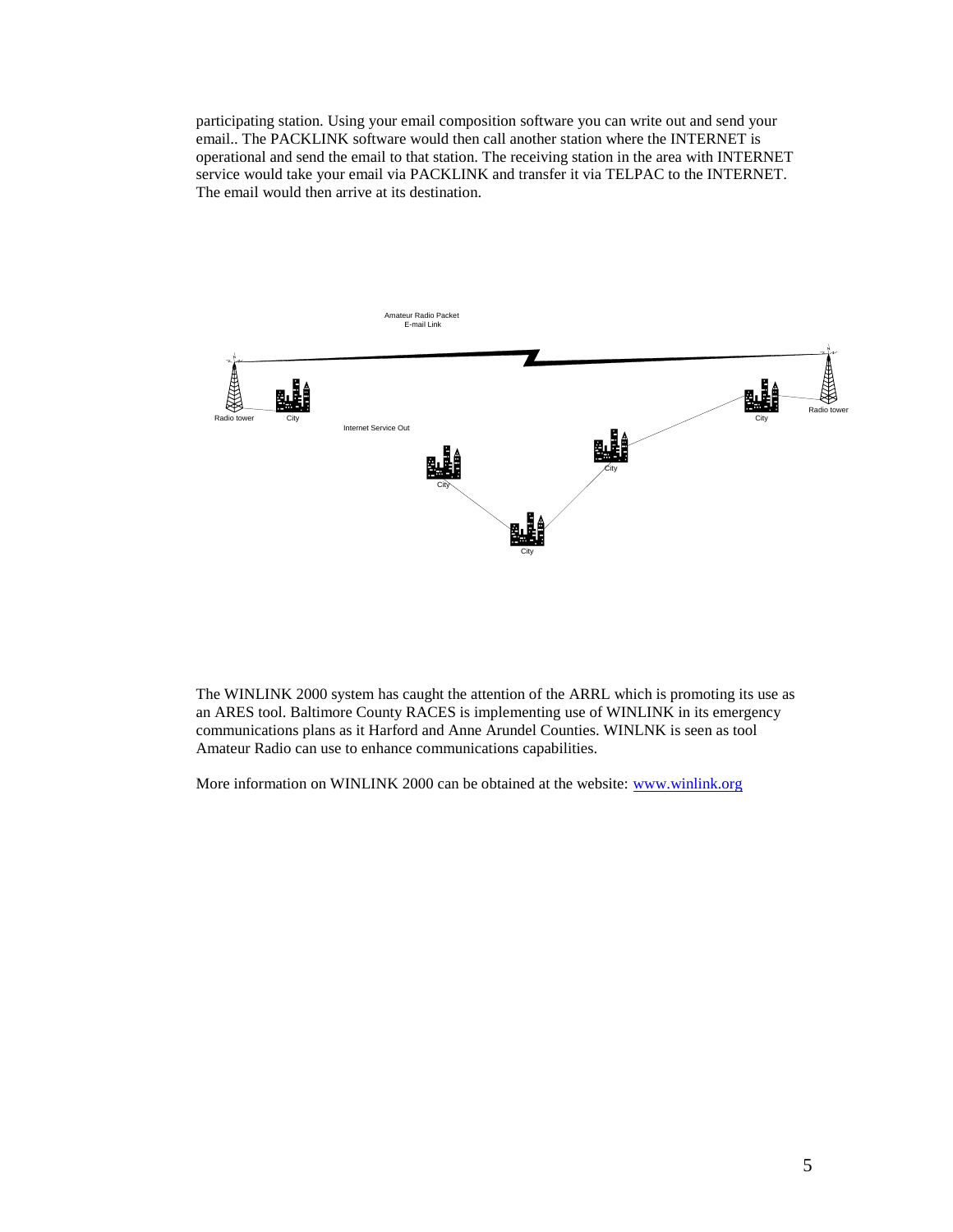participating station. Using your email composition software you can write out and send your email.. The PACKLINK software would then call another station where the INTERNET is operational and send the email to that station. The receiving station in the area with INTERNET service would take your email via PACKLINK and transfer it via TELPAC to the INTERNET. The email would then arrive at its destination.



The WINLINK 2000 system has caught the attention of the ARRL which is promoting its use as an ARES tool. Baltimore County RACES is implementing use of WINLINK in its emergency communications plans as it Harford and Anne Arundel Counties. WINLNK is seen as tool Amateur Radio can use to enhance communications capabilities.

More information on WINLINK 2000 can be obtained at the website: [www.winlink.org](http://www.winlink.org/)